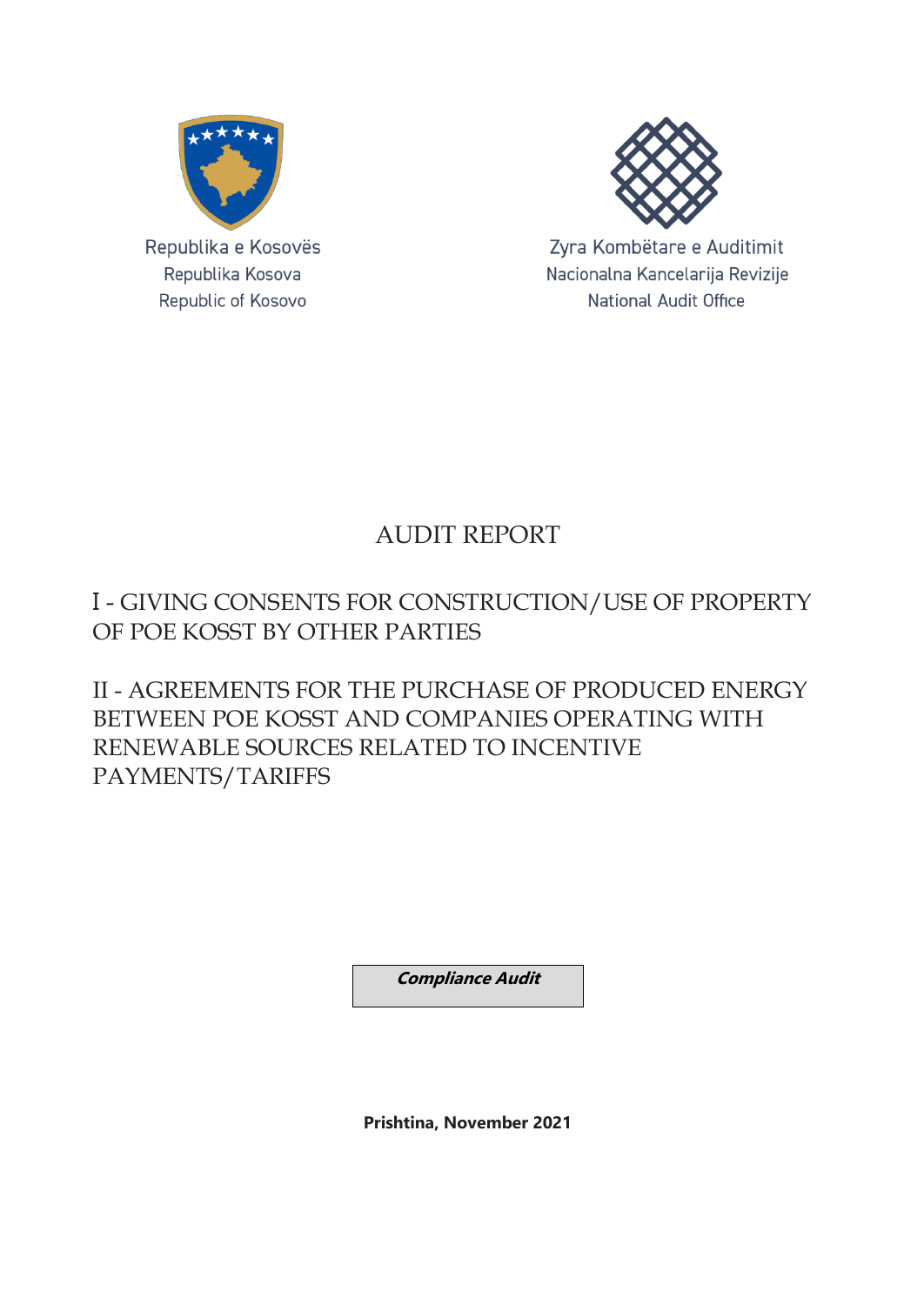



Zyra Kombëtare e Auditimit Nacionalna Kancelarija Revizije **National Audit Office** 

## AUDIT REPORT

### I - GIVING CONSENTS FOR CONSTRUCTION/USE OF PROPERTY OF POE KOSST BY OTHER PARTIES

II - AGREEMENTS FOR THE PURCHASE OF PRODUCED ENERGY BETWEEN POE KOSST AND COMPANIES OPERATING WITH RENEWABLE SOURCES RELATED TO INCENTIVE PAYMENTS/TARIFFS

**Compliance Audit**

**Prishtina, November 2021**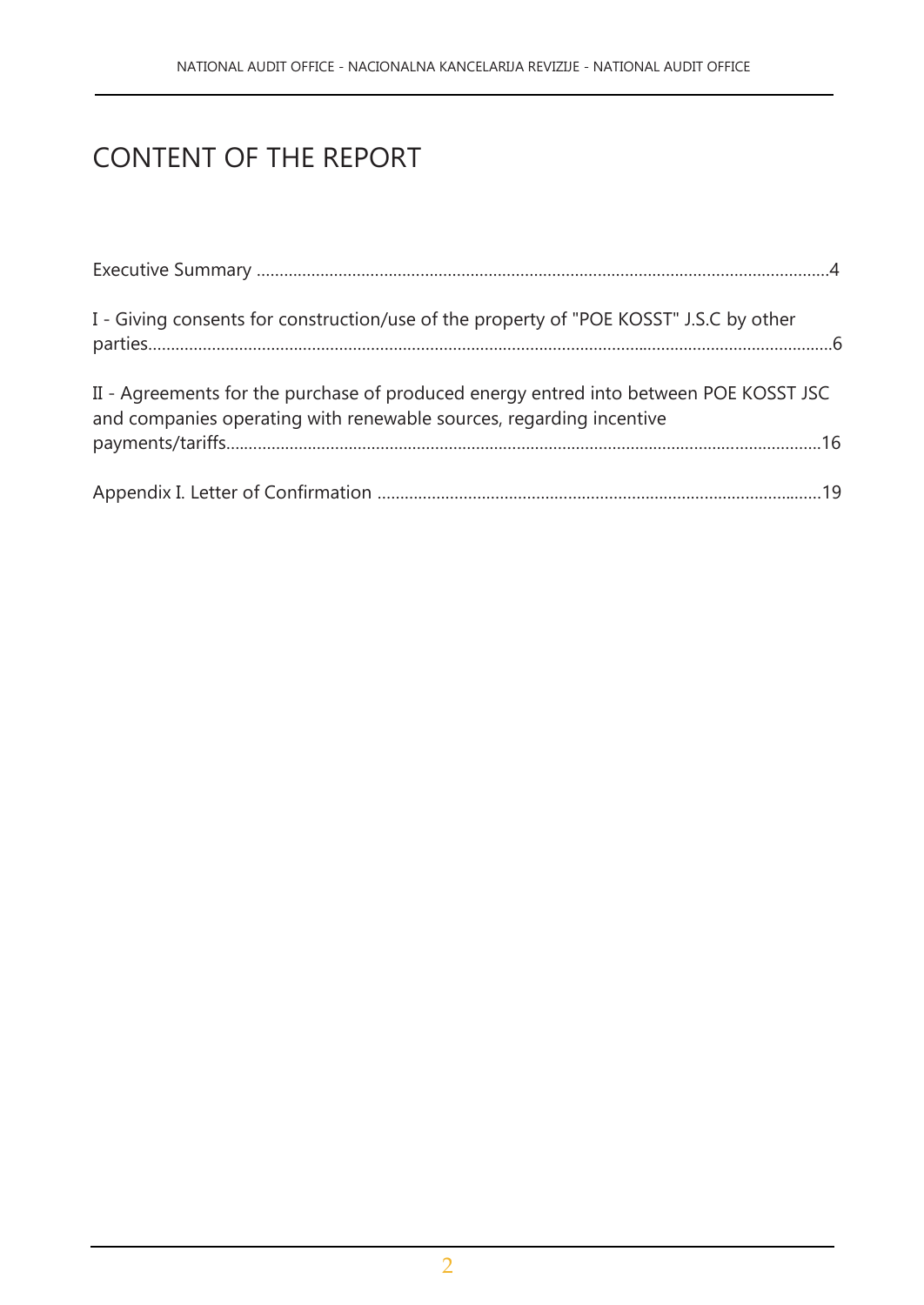# CONTENT OF THE REPORT

| I - Giving consents for construction/use of the property of "POE KOSST" J.S.C by other                                                                       |
|--------------------------------------------------------------------------------------------------------------------------------------------------------------|
| II - Agreements for the purchase of produced energy entred into between POE KOSST JSC<br>and companies operating with renewable sources, regarding incentive |
|                                                                                                                                                              |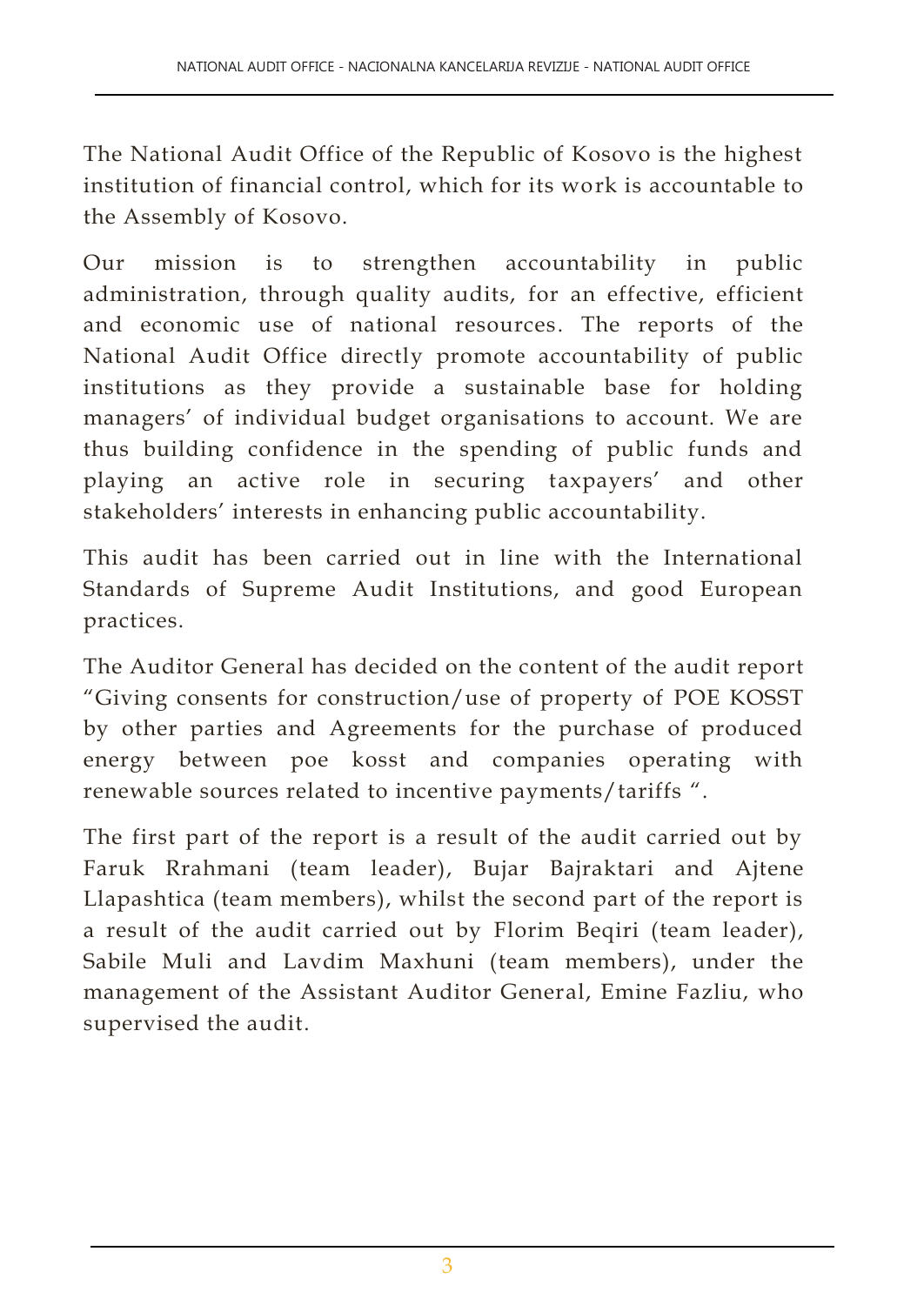The National Audit Office of the Republic of Kosovo is the highest institution of financial control, which for its work is accountable to the Assembly of Kosovo.

Our mission is to strengthen accountability in public administration, through quality audits, for an effective, efficient and economic use of national resources. The reports of the National Audit Office directly promote accountability of public institutions as they provide a sustainable base for holding managers' of individual budget organisations to account. We are thus building confidence in the spending of public funds and playing an active role in securing taxpayers' and other stakeholders' interests in enhancing public accountability.

This audit has been carried out in line with the International Standards of Supreme Audit Institutions, and good European practices.

The Auditor General has decided on the content of the audit report "Giving consents for construction/use of property of POE KOSST by other parties and Agreements for the purchase of produced energy between poe kosst and companies operating with renewable sources related to incentive payments/tariffs ".

The first part of the report is a result of the audit carried out by Faruk Rrahmani (team leader), Bujar Bajraktari and Ajtene Llapashtica (team members), whilst the second part of the report is a result of the audit carried out by Florim Beqiri (team leader), Sabile Muli and Lavdim Maxhuni (team members), under the management of the Assistant Auditor General, Emine Fazliu, who supervised the audit.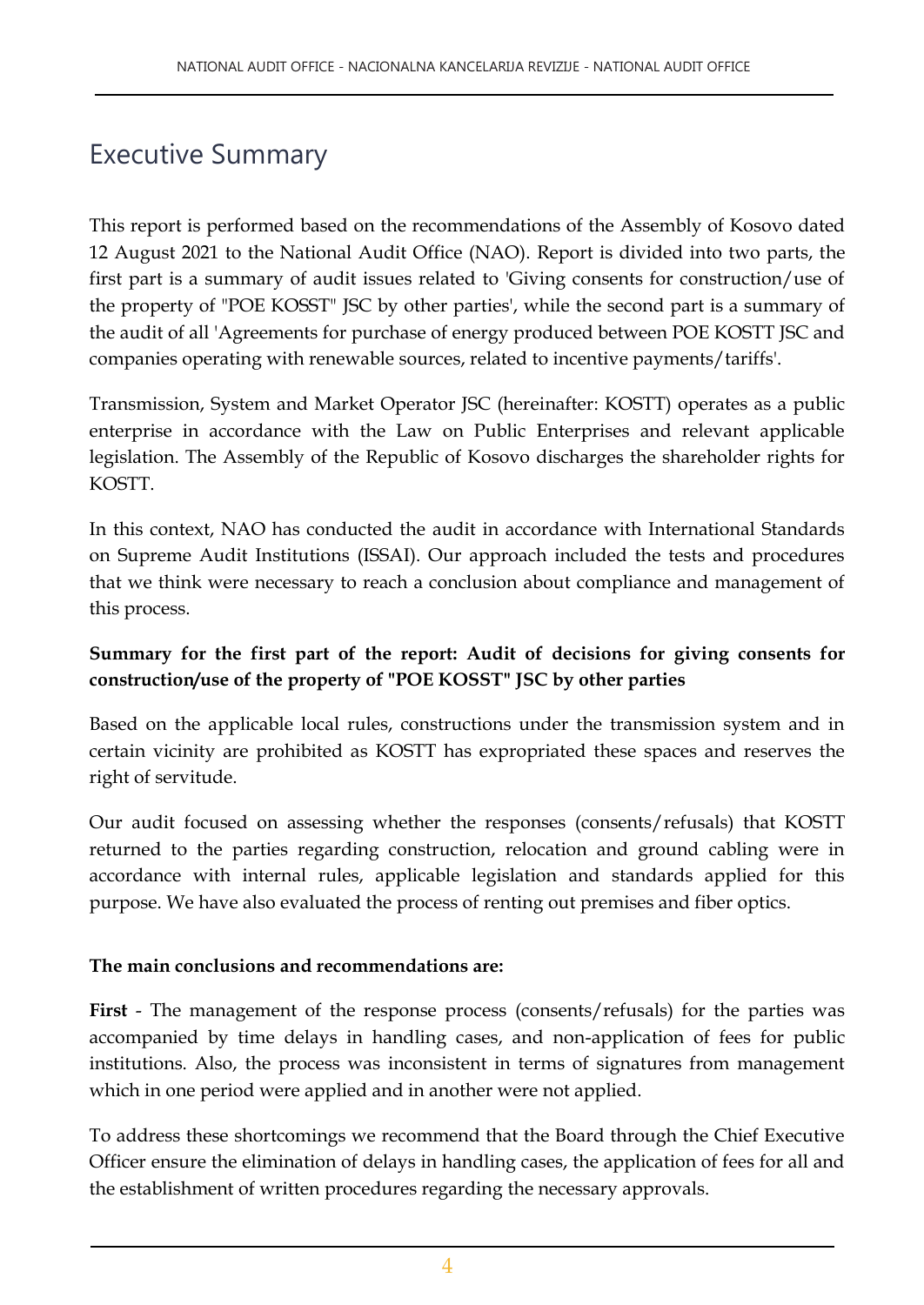## Executive Summary

This report is performed based on the recommendations of the Assembly of Kosovo dated 12 August 2021 to the National Audit Office (NAO). Report is divided into two parts, the first part is a summary of audit issues related to 'Giving consents for construction/use of the property of "POE KOSST" JSC by other parties', while the second part is a summary of the audit of all 'Agreements for purchase of energy produced between POE KOSTT JSC and companies operating with renewable sources, related to incentive payments/tariffs'.

Transmission, System and Market Operator JSC (hereinafter: KOSTT) operates as a public enterprise in accordance with the Law on Public Enterprises and relevant applicable legislation. The Assembly of the Republic of Kosovo discharges the shareholder rights for KOSTT.

In this context, NAO has conducted the audit in accordance with International Standards on Supreme Audit Institutions (ISSAI). Our approach included the tests and procedures that we think were necessary to reach a conclusion about compliance and management of this process.

#### **Summary for the first part of the report: Audit of decisions for giving consents for construction/use of the property of "POE KOSST" JSC by other parties**

Based on the applicable local rules, constructions under the transmission system and in certain vicinity are prohibited as KOSTT has expropriated these spaces and reserves the right of servitude.

Our audit focused on assessing whether the responses (consents/refusals) that KOSTT returned to the parties regarding construction, relocation and ground cabling were in accordance with internal rules, applicable legislation and standards applied for this purpose. We have also evaluated the process of renting out premises and fiber optics.

#### **The main conclusions and recommendations are:**

**First** - The management of the response process (consents/refusals) for the parties was accompanied by time delays in handling cases, and non-application of fees for public institutions. Also, the process was inconsistent in terms of signatures from management which in one period were applied and in another were not applied.

To address these shortcomings we recommend that the Board through the Chief Executive Officer ensure the elimination of delays in handling cases, the application of fees for all and the establishment of written procedures regarding the necessary approvals.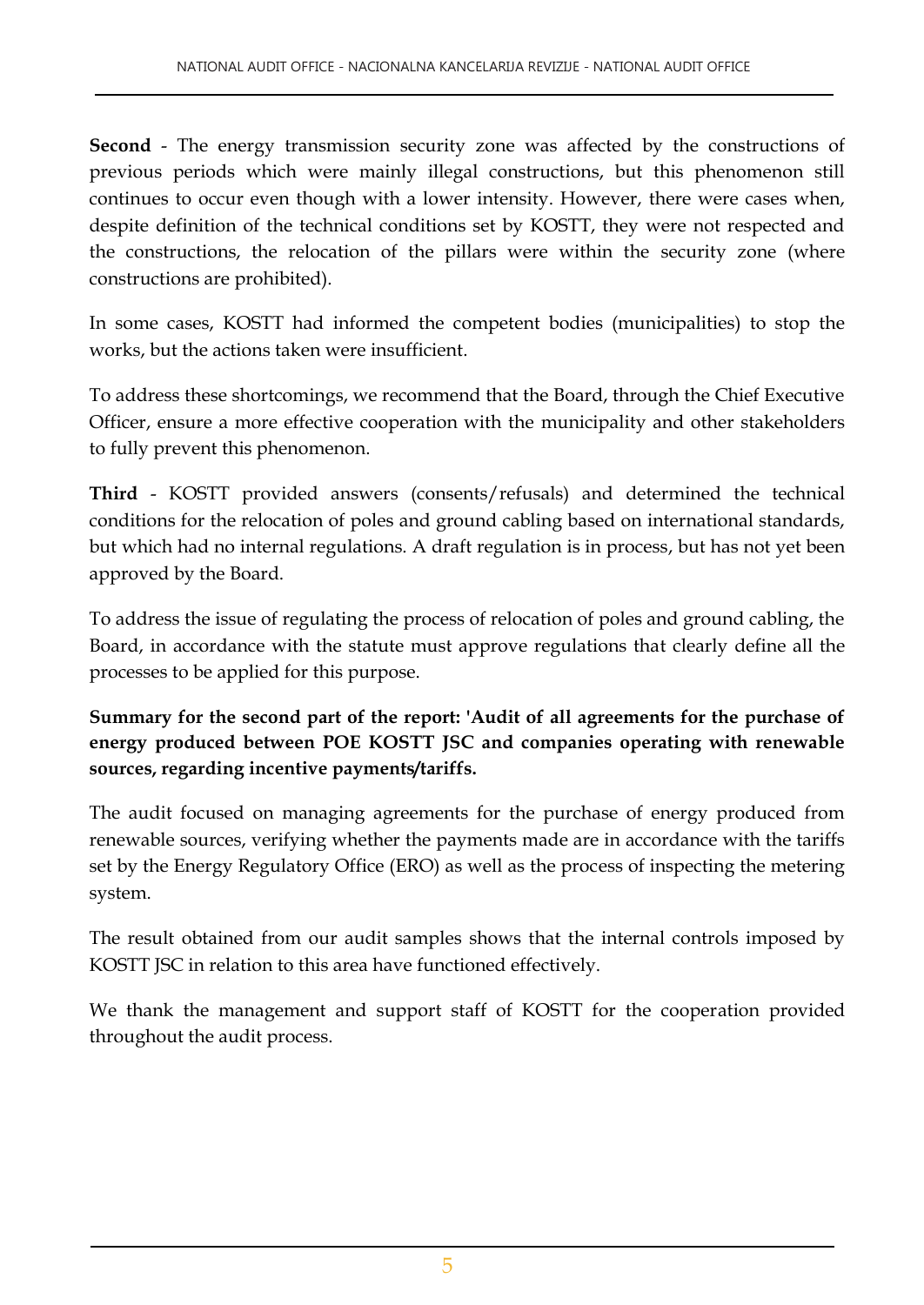**Second** - The energy transmission security zone was affected by the constructions of previous periods which were mainly illegal constructions, but this phenomenon still continues to occur even though with a lower intensity. However, there were cases when, despite definition of the technical conditions set by KOSTT, they were not respected and the constructions, the relocation of the pillars were within the security zone (where constructions are prohibited).

In some cases, KOSTT had informed the competent bodies (municipalities) to stop the works, but the actions taken were insufficient.

To address these shortcomings, we recommend that the Board, through the Chief Executive Officer, ensure a more effective cooperation with the municipality and other stakeholders to fully prevent this phenomenon.

**Third** - KOSTT provided answers (consents/refusals) and determined the technical conditions for the relocation of poles and ground cabling based on international standards, but which had no internal regulations. A draft regulation is in process, but has not yet been approved by the Board.

To address the issue of regulating the process of relocation of poles and ground cabling, the Board, in accordance with the statute must approve regulations that clearly define all the processes to be applied for this purpose.

**Summary for the second part of the report: 'Audit of all agreements for the purchase of energy produced between POE KOSTT JSC and companies operating with renewable sources, regarding incentive payments/tariffs.**

The audit focused on managing agreements for the purchase of energy produced from renewable sources, verifying whether the payments made are in accordance with the tariffs set by the Energy Regulatory Office (ERO) as well as the process of inspecting the metering system.

The result obtained from our audit samples shows that the internal controls imposed by KOSTT JSC in relation to this area have functioned effectively.

We thank the management and support staff of KOSTT for the cooperation provided throughout the audit process.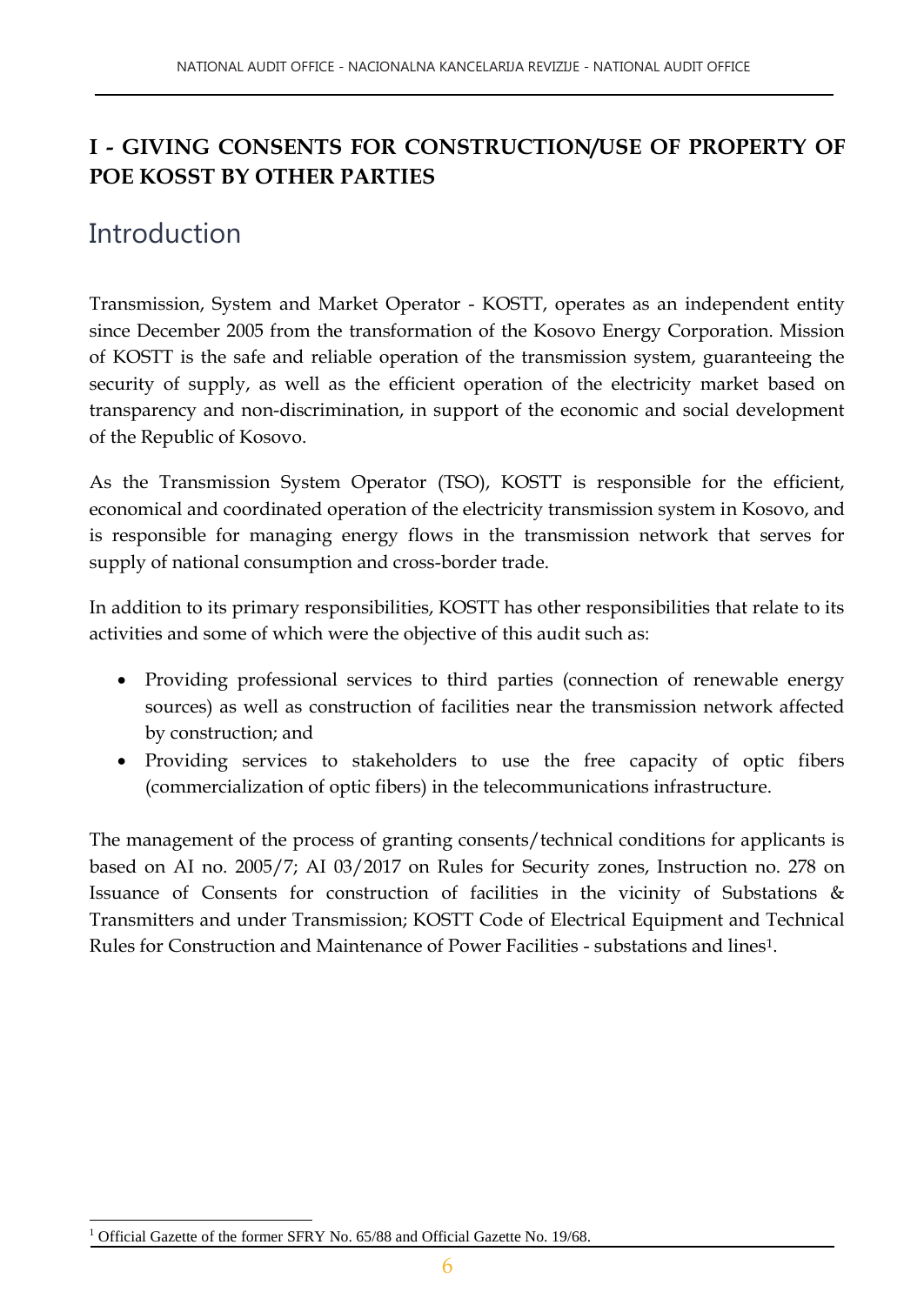### **I - GIVING CONSENTS FOR CONSTRUCTION/USE OF PROPERTY OF POE KOSST BY OTHER PARTIES**

## **Introduction**

Transmission, System and Market Operator - KOSTT, operates as an independent entity since December 2005 from the transformation of the Kosovo Energy Corporation. Mission of KOSTT is the safe and reliable operation of the transmission system, guaranteeing the security of supply, as well as the efficient operation of the electricity market based on transparency and non-discrimination, in support of the economic and social development of the Republic of Kosovo.

As the Transmission System Operator (TSO), KOSTT is responsible for the efficient, economical and coordinated operation of the electricity transmission system in Kosovo, and is responsible for managing energy flows in the transmission network that serves for supply of national consumption and cross-border trade.

In addition to its primary responsibilities, KOSTT has other responsibilities that relate to its activities and some of which were the objective of this audit such as:

- Providing professional services to third parties (connection of renewable energy sources) as well as construction of facilities near the transmission network affected by construction; and
- Providing services to stakeholders to use the free capacity of optic fibers (commercialization of optic fibers) in the telecommunications infrastructure.

The management of the process of granting consents/technical conditions for applicants is based on AI no. 2005/7; AI 03/2017 on Rules for Security zones, Instruction no. 278 on Issuance of Consents for construction of facilities in the vicinity of Substations & Transmitters and under Transmission; KOSTT Code of Electrical Equipment and Technical Rules for Construction and Maintenance of Power Facilities - substations and lines1.

l <sup>1</sup> Official Gazette of the former SFRY No. 65/88 and Official Gazette No. 19/68.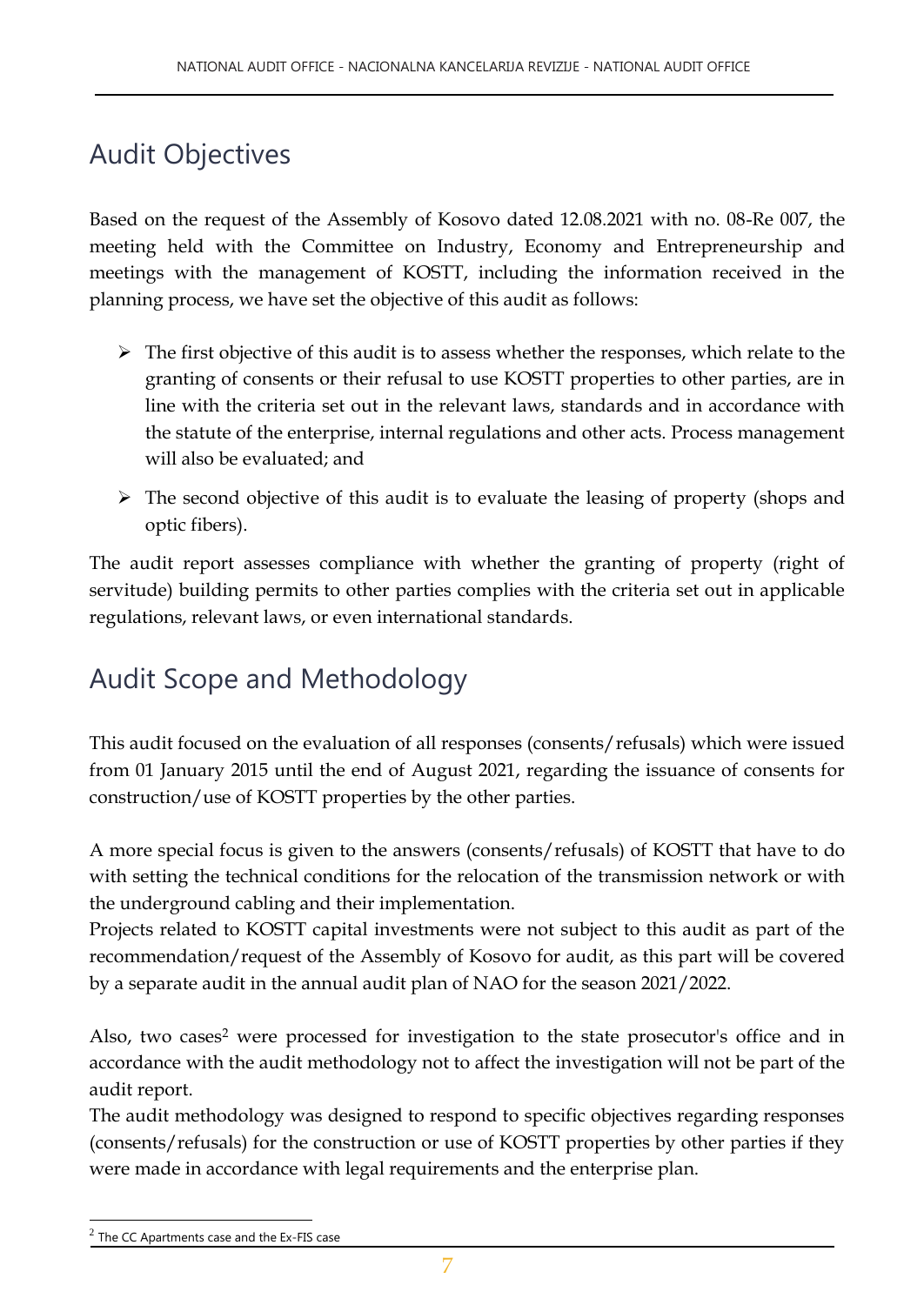# Audit Objectives

Based on the request of the Assembly of Kosovo dated 12.08.2021 with no. 08-Re 007, the meeting held with the Committee on Industry, Economy and Entrepreneurship and meetings with the management of KOSTT, including the information received in the planning process, we have set the objective of this audit as follows:

- $\triangleright$  The first objective of this audit is to assess whether the responses, which relate to the granting of consents or their refusal to use KOSTT properties to other parties, are in line with the criteria set out in the relevant laws, standards and in accordance with the statute of the enterprise, internal regulations and other acts. Process management will also be evaluated; and
- $\triangleright$  The second objective of this audit is to evaluate the leasing of property (shops and optic fibers).

The audit report assesses compliance with whether the granting of property (right of servitude) building permits to other parties complies with the criteria set out in applicable regulations, relevant laws, or even international standards.

## Audit Scope and Methodology

This audit focused on the evaluation of all responses (consents/refusals) which were issued from 01 January 2015 until the end of August 2021, regarding the issuance of consents for construction/use of KOSTT properties by the other parties.

A more special focus is given to the answers (consents/refusals) of KOSTT that have to do with setting the technical conditions for the relocation of the transmission network or with the underground cabling and their implementation.

Projects related to KOSTT capital investments were not subject to this audit as part of the recommendation/request of the Assembly of Kosovo for audit, as this part will be covered by a separate audit in the annual audit plan of NAO for the season 2021/2022.

Also, two cases<sup>2</sup> were processed for investigation to the state prosecutor's office and in accordance with the audit methodology not to affect the investigation will not be part of the audit report.

The audit methodology was designed to respond to specific objectives regarding responses (consents/refusals) for the construction or use of KOSTT properties by other parties if they were made in accordance with legal requirements and the enterprise plan.

 $2$  The CC Apartments case and the Ex-FIS case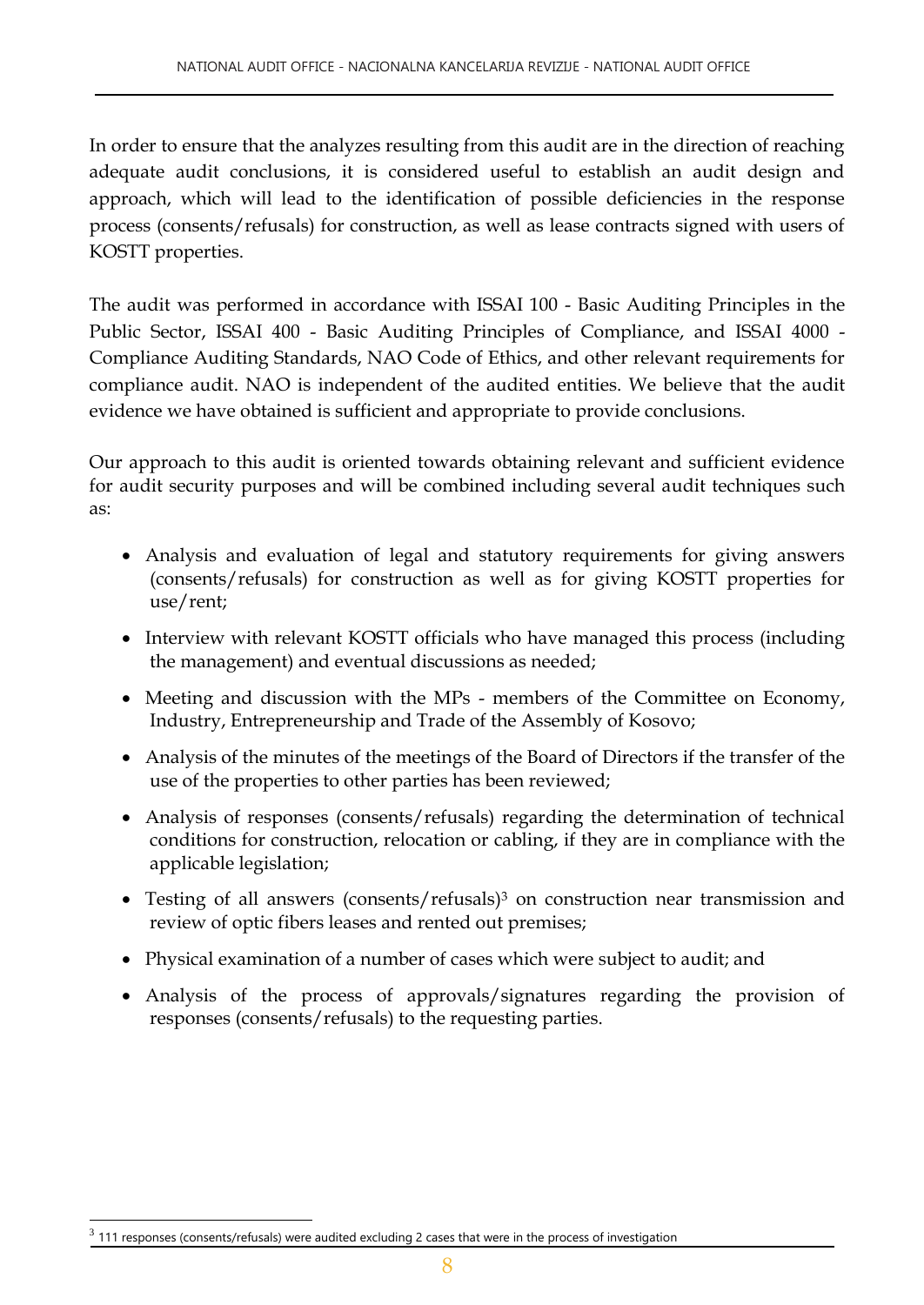In order to ensure that the analyzes resulting from this audit are in the direction of reaching adequate audit conclusions, it is considered useful to establish an audit design and approach, which will lead to the identification of possible deficiencies in the response process (consents/refusals) for construction, as well as lease contracts signed with users of KOSTT properties.

The audit was performed in accordance with ISSAI 100 - Basic Auditing Principles in the Public Sector, ISSAI 400 - Basic Auditing Principles of Compliance, and ISSAI 4000 - Compliance Auditing Standards, NAO Code of Ethics, and other relevant requirements for compliance audit. NAO is independent of the audited entities. We believe that the audit evidence we have obtained is sufficient and appropriate to provide conclusions.

Our approach to this audit is oriented towards obtaining relevant and sufficient evidence for audit security purposes and will be combined including several audit techniques such as:

- Analysis and evaluation of legal and statutory requirements for giving answers (consents/refusals) for construction as well as for giving KOSTT properties for use/rent;
- Interview with relevant KOSTT officials who have managed this process (including the management) and eventual discussions as needed;
- Meeting and discussion with the MPs members of the Committee on Economy, Industry, Entrepreneurship and Trade of the Assembly of Kosovo;
- Analysis of the minutes of the meetings of the Board of Directors if the transfer of the use of the properties to other parties has been reviewed;
- Analysis of responses (consents/refusals) regarding the determination of technical conditions for construction, relocation or cabling, if they are in compliance with the applicable legislation;
- Testing of all answers (consents/refusals) <sup>3</sup> on construction near transmission and review of optic fibers leases and rented out premises;
- Physical examination of a number of cases which were subject to audit; and
- Analysis of the process of approvals/signatures regarding the provision of responses (consents/refusals) to the requesting parties.

 $3$  111 responses (consents/refusals) were audited excluding 2 cases that were in the process of investigation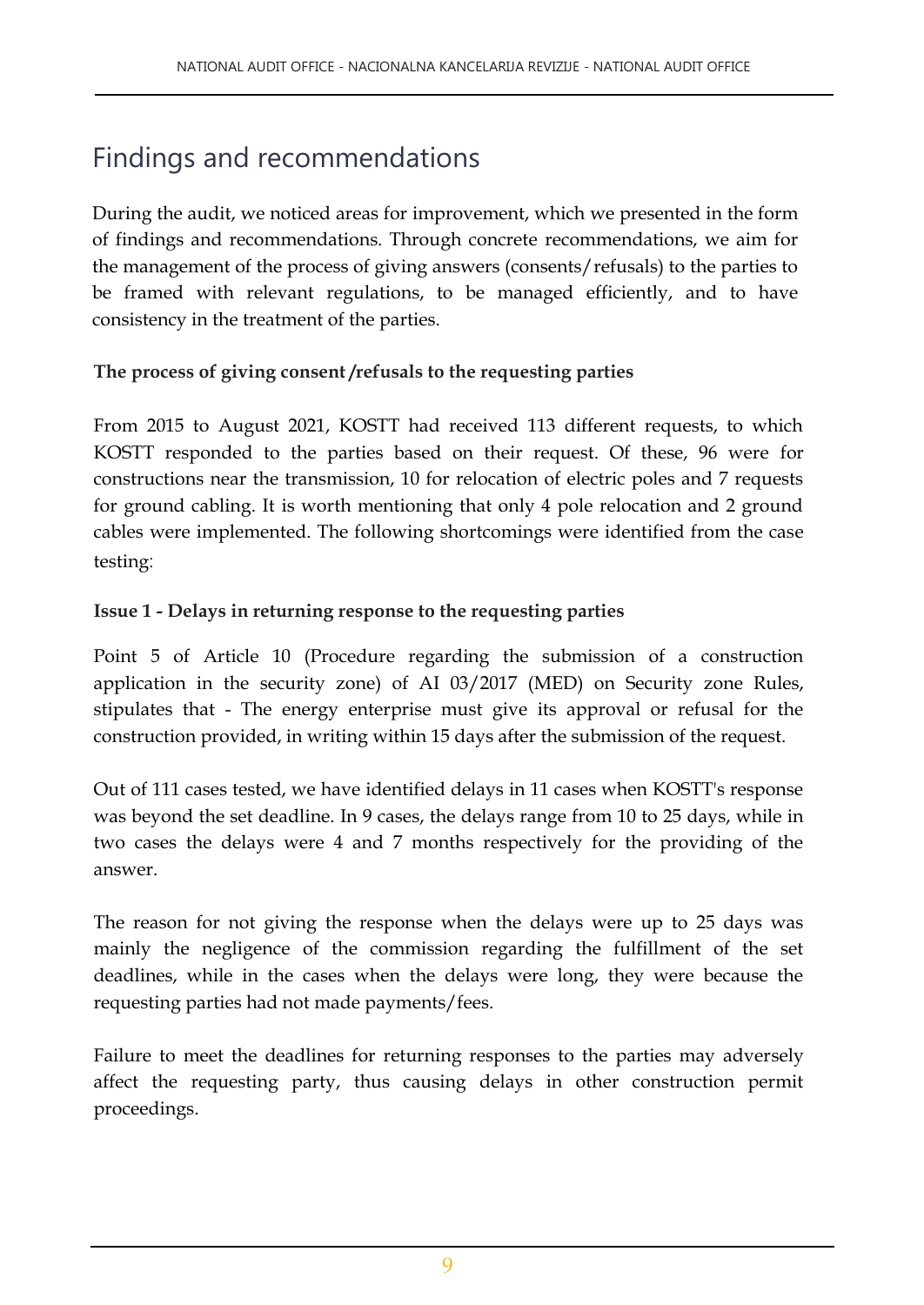# Findings and recommendations

During the audit, we noticed areas for improvement, which we presented in the form of findings and recommendations. Through concrete recommendations, we aim for the management of the process of giving answers (consents/refusals) to the parties to be framed with relevant regulations, to be managed efficiently, and to have consistency in the treatment of the parties.

#### **The process of giving consent /refusals to the requesting parties**

From 2015 to August 2021, KOSTT had received 113 different requests, to which KOSTT responded to the parties based on their request. Of these, 96 were for constructions near the transmission, 10 for relocation of electric poles and 7 requests for ground cabling. It is worth mentioning that only 4 pole relocation and 2 ground cables were implemented. The following shortcomings were identified from the case testing:

#### **Issue 1 - Delays in returning response to the requesting parties**

Point 5 of Article 10 (Procedure regarding the submission of a construction application in the security zone) of AI 03/2017 (MED) on Security zone Rules, stipulates that - The energy enterprise must give its approval or refusal for the construction provided, in writing within 15 days after the submission of the request.

Out of 111 cases tested, we have identified delays in 11 cases when KOSTT's response was beyond the set deadline. In 9 cases, the delays range from 10 to 25 days, while in two cases the delays were 4 and 7 months respectively for the providing of the answer.

The reason for not giving the response when the delays were up to 25 days was mainly the negligence of the commission regarding the fulfillment of the set deadlines, while in the cases when the delays were long, they were because the requesting parties had not made payments/fees.

Failure to meet the deadlines for returning responses to the parties may adversely affect the requesting party, thus causing delays in other construction permit proceedings.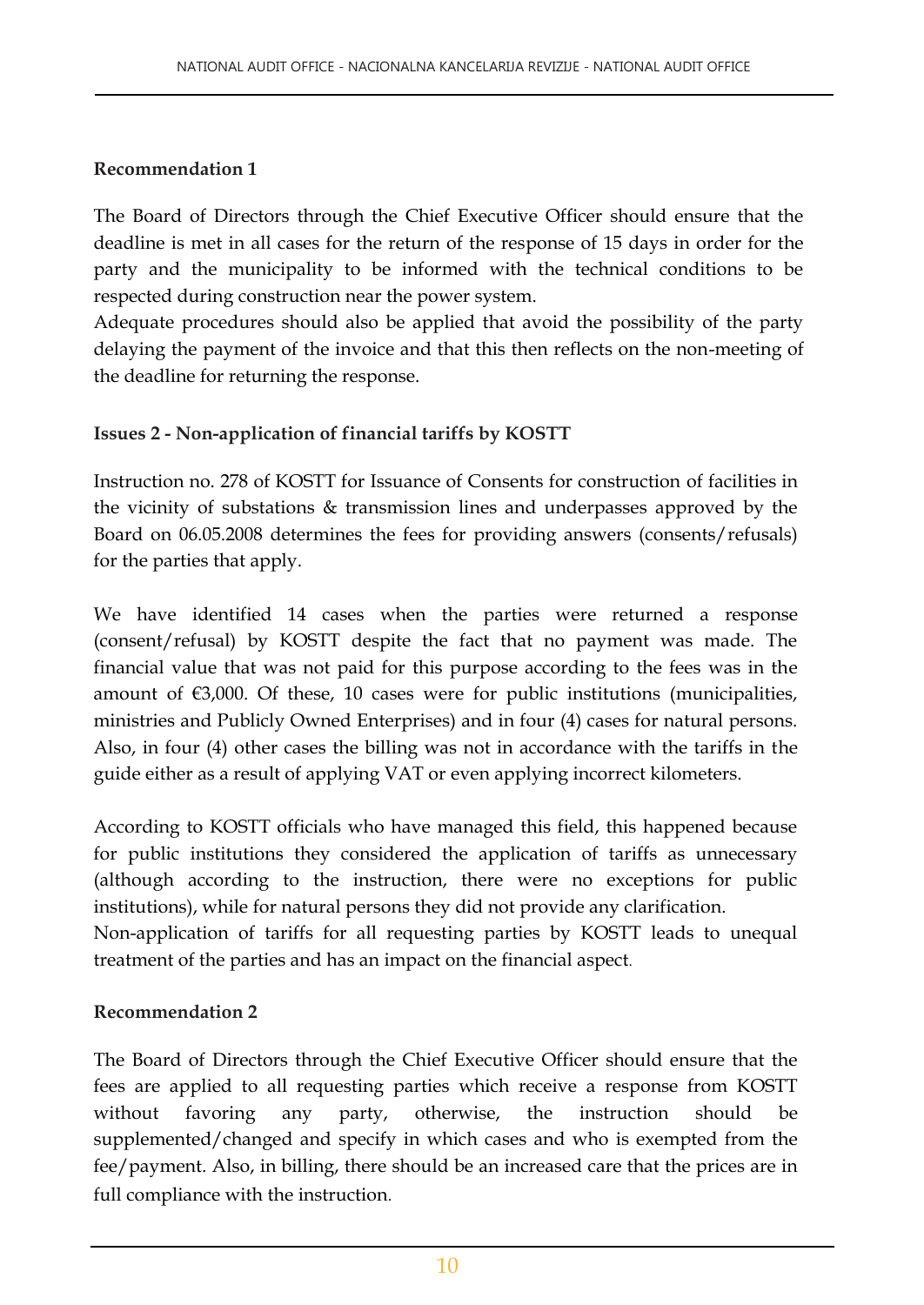#### **Recommendation 1**

The Board of Directors through the Chief Executive Officer should ensure that the deadline is met in all cases for the return of the response of 15 days in order for the party and the municipality to be informed with the technical conditions to be respected during construction near the power system.

Adequate procedures should also be applied that avoid the possibility of the party delaying the payment of the invoice and that this then reflects on the non-meeting of the deadline for returning the response.

#### **Issues 2 - Non-application of financial tariffs by KOSTT**

Instruction no. 278 of KOSTT for Issuance of Consents for construction of facilities in the vicinity of substations & transmission lines and underpasses approved by the Board on 06.05.2008 determines the fees for providing answers (consents/refusals) for the parties that apply.

We have identified 14 cases when the parties were returned a response (consent/refusal) by KOSTT despite the fact that no payment was made. The financial value that was not paid for this purpose according to the fees was in the amount of €3,000. Of these, 10 cases were for public institutions (municipalities, ministries and Publicly Owned Enterprises) and in four (4) cases for natural persons. Also, in four (4) other cases the billing was not in accordance with the tariffs in the guide either as a result of applying VAT or even applying incorrect kilometers.

According to KOSTT officials who have managed this field, this happened because for public institutions they considered the application of tariffs as unnecessary (although according to the instruction, there were no exceptions for public institutions), while for natural persons they did not provide any clarification. Non-application of tariffs for all requesting parties by KOSTT leads to unequal treatment of the parties and has an impact on the financial aspect.

#### **Recommendation 2**

The Board of Directors through the Chief Executive Officer should ensure that the fees are applied to all requesting parties which receive a response from KOSTT without favoring any party, otherwise, the instruction should be supplemented/changed and specify in which cases and who is exempted from the fee/payment. Also, in billing, there should be an increased care that the prices are in full compliance with the instruction.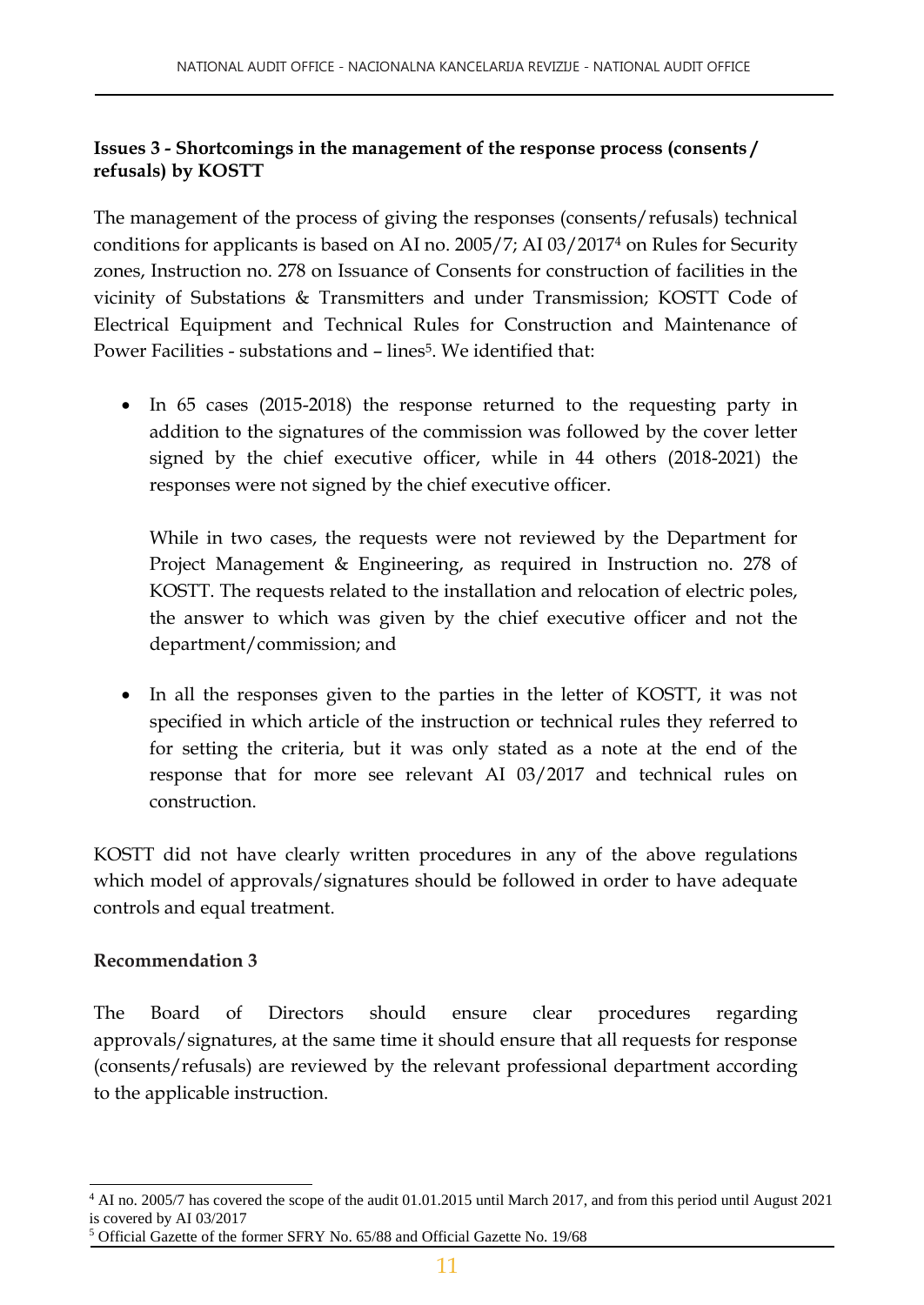#### **Issues 3 - Shortcomings in the management of the response process (consents / refusals) by KOSTT**

The management of the process of giving the responses (consents/refusals) technical conditions for applicants is based on AI no. 2005/7; AI 03/2017<sup>4</sup> on Rules for Security zones, Instruction no. 278 on Issuance of Consents for construction of facilities in the vicinity of Substations & Transmitters and under Transmission; KOSTT Code of Electrical Equipment and Technical Rules for Construction and Maintenance of Power Facilities - substations and – lines<sup>5</sup>. We identified that:

• In 65 cases (2015-2018) the response returned to the requesting party in addition to the signatures of the commission was followed by the cover letter signed by the chief executive officer, while in 44 others (2018-2021) the responses were not signed by the chief executive officer.

While in two cases, the requests were not reviewed by the Department for Project Management & Engineering, as required in Instruction no. 278 of KOSTT. The requests related to the installation and relocation of electric poles, the answer to which was given by the chief executive officer and not the department/commission; and

• In all the responses given to the parties in the letter of KOSTT, it was not specified in which article of the instruction or technical rules they referred to for setting the criteria, but it was only stated as a note at the end of the response that for more see relevant AI 03/2017 and technical rules on construction.

KOSTT did not have clearly written procedures in any of the above regulations which model of approvals/signatures should be followed in order to have adequate controls and equal treatment.

#### **Recommendation 3**

The Board of Directors should ensure clear procedures regarding approvals/signatures, at the same time it should ensure that all requests for response (consents/refusals) are reviewed by the relevant professional department according to the applicable instruction.

l <sup>4</sup> AI no. 2005/7 has covered the scope of the audit 01.01.2015 until March 2017, and from this period until August 2021 is covered by AI 03/2017 <sup>5</sup> Official Gazette of the former SFRY No. 65/88 and Official Gazette No. 19/68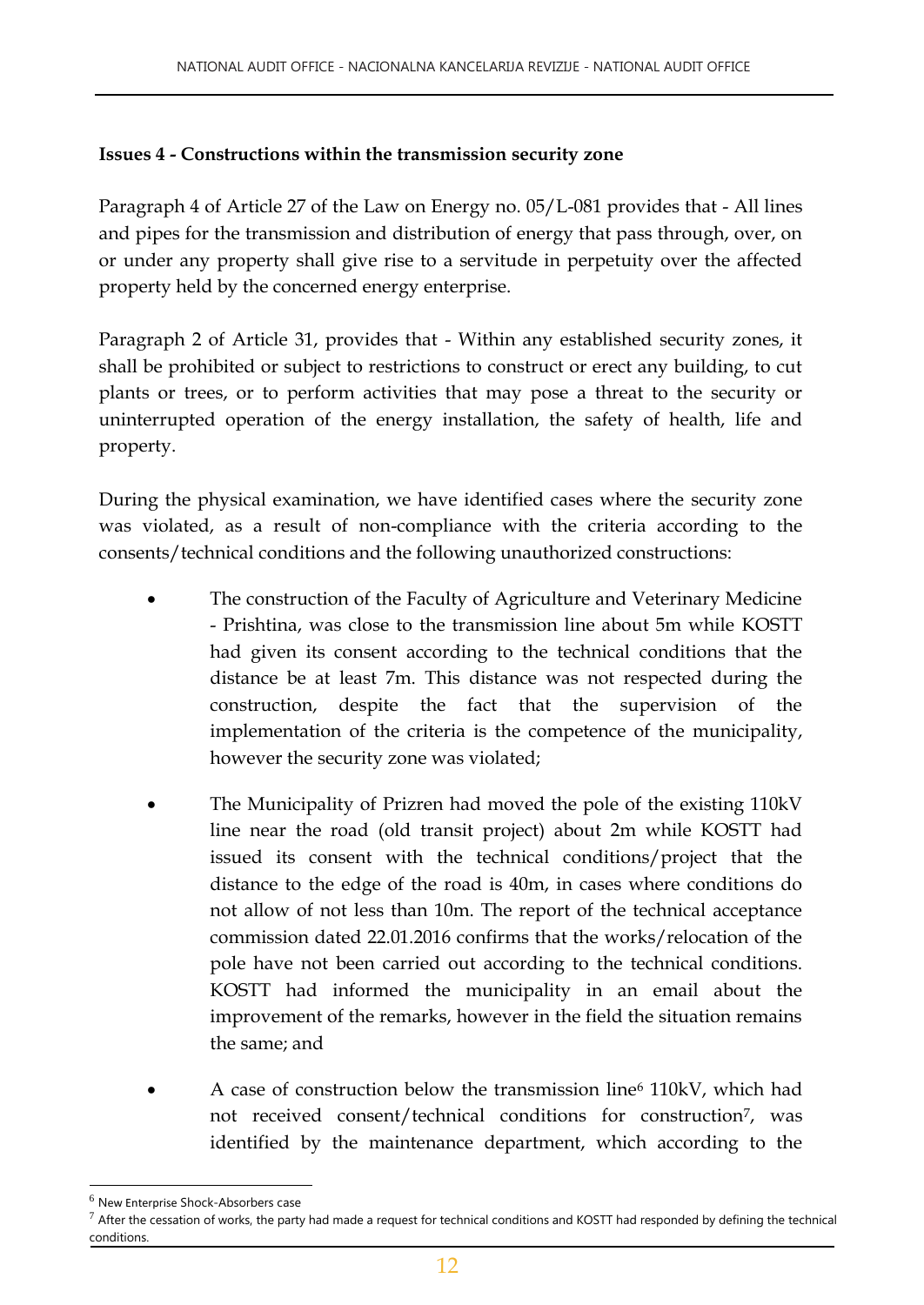#### **Issues 4 - Constructions within the transmission security zone**

Paragraph 4 of Article 27 of the Law on Energy no. 05/L-081 provides that - All lines and pipes for the transmission and distribution of energy that pass through, over, on or under any property shall give rise to a servitude in perpetuity over the affected property held by the concerned energy enterprise.

Paragraph 2 of Article 31, provides that - Within any established security zones, it shall be prohibited or subject to restrictions to construct or erect any building, to cut plants or trees, or to perform activities that may pose a threat to the security or uninterrupted operation of the energy installation, the safety of health, life and property.

During the physical examination, we have identified cases where the security zone was violated, as a result of non-compliance with the criteria according to the consents/technical conditions and the following unauthorized constructions:

- The construction of the Faculty of Agriculture and Veterinary Medicine - Prishtina, was close to the transmission line about 5m while KOSTT had given its consent according to the technical conditions that the distance be at least 7m. This distance was not respected during the construction, despite the fact that the supervision of the implementation of the criteria is the competence of the municipality, however the security zone was violated;
- The Municipality of Prizren had moved the pole of the existing 110kV line near the road (old transit project) about 2m while KOSTT had issued its consent with the technical conditions/project that the distance to the edge of the road is 40m, in cases where conditions do not allow of not less than 10m. The report of the technical acceptance commission dated 22.01.2016 confirms that the works/relocation of the pole have not been carried out according to the technical conditions. KOSTT had informed the municipality in an email about the improvement of the remarks, however in the field the situation remains the same; and
- A case of construction below the transmission line<sup>6</sup> 110kV, which had not received consent/technical conditions for construction<sup>7</sup>, was identified by the maintenance department, which according to the

 $<sup>6</sup>$  New Enterprise Shock-Absorbers case</sup>

 $^7$  After the cessation of works, the party had made a request for technical conditions and KOSTT had responded by defining the technical conditions.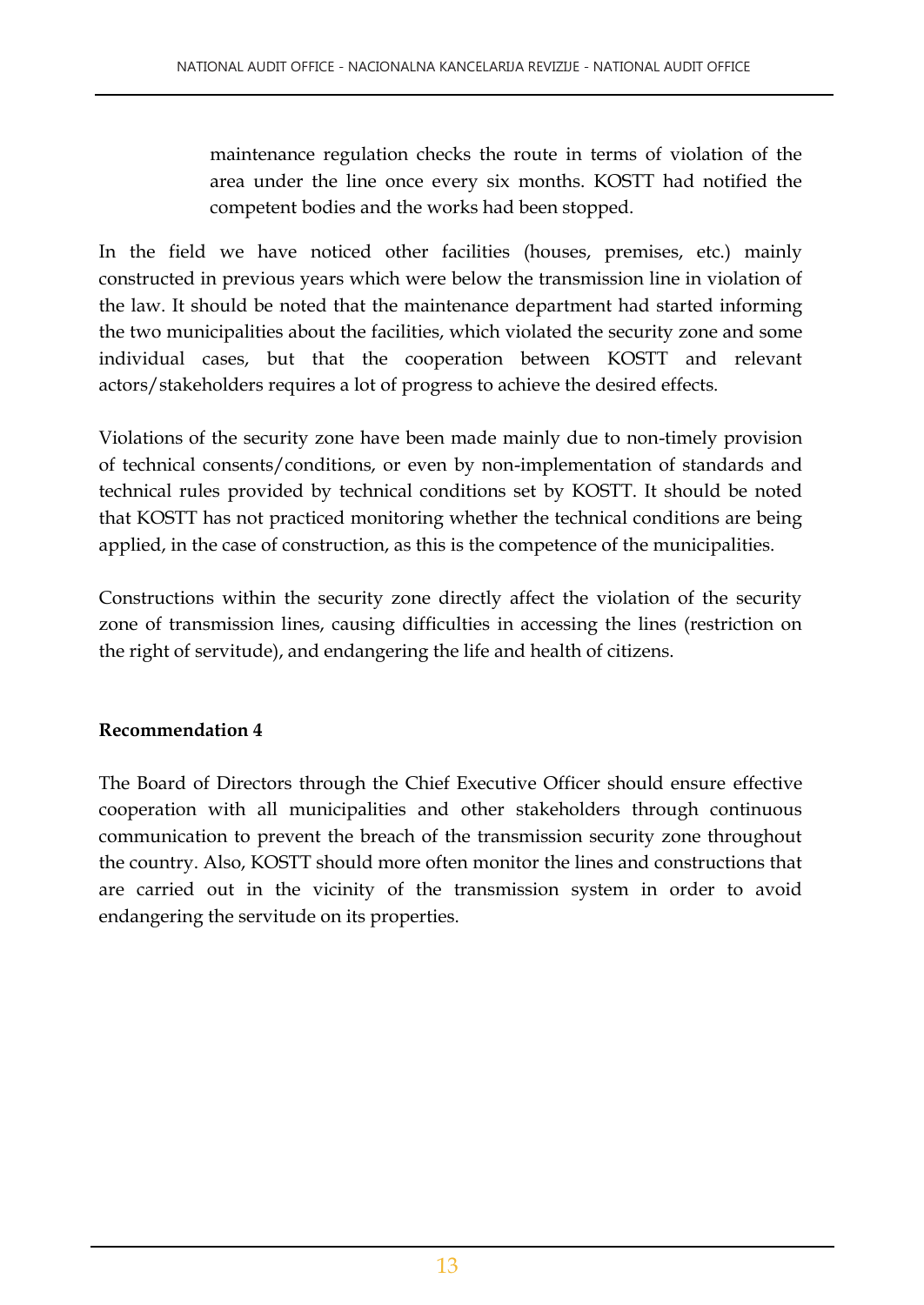maintenance regulation checks the route in terms of violation of the area under the line once every six months. KOSTT had notified the competent bodies and the works had been stopped.

In the field we have noticed other facilities (houses, premises, etc.) mainly constructed in previous years which were below the transmission line in violation of the law. It should be noted that the maintenance department had started informing the two municipalities about the facilities, which violated the security zone and some individual cases, but that the cooperation between KOSTT and relevant actors/stakeholders requires a lot of progress to achieve the desired effects.

Violations of the security zone have been made mainly due to non-timely provision of technical consents/conditions, or even by non-implementation of standards and technical rules provided by technical conditions set by KOSTT. It should be noted that KOSTT has not practiced monitoring whether the technical conditions are being applied, in the case of construction, as this is the competence of the municipalities.

Constructions within the security zone directly affect the violation of the security zone of transmission lines, causing difficulties in accessing the lines (restriction on the right of servitude), and endangering the life and health of citizens.

#### **Recommendation 4**

The Board of Directors through the Chief Executive Officer should ensure effective cooperation with all municipalities and other stakeholders through continuous communication to prevent the breach of the transmission security zone throughout the country. Also, KOSTT should more often monitor the lines and constructions that are carried out in the vicinity of the transmission system in order to avoid endangering the servitude on its properties.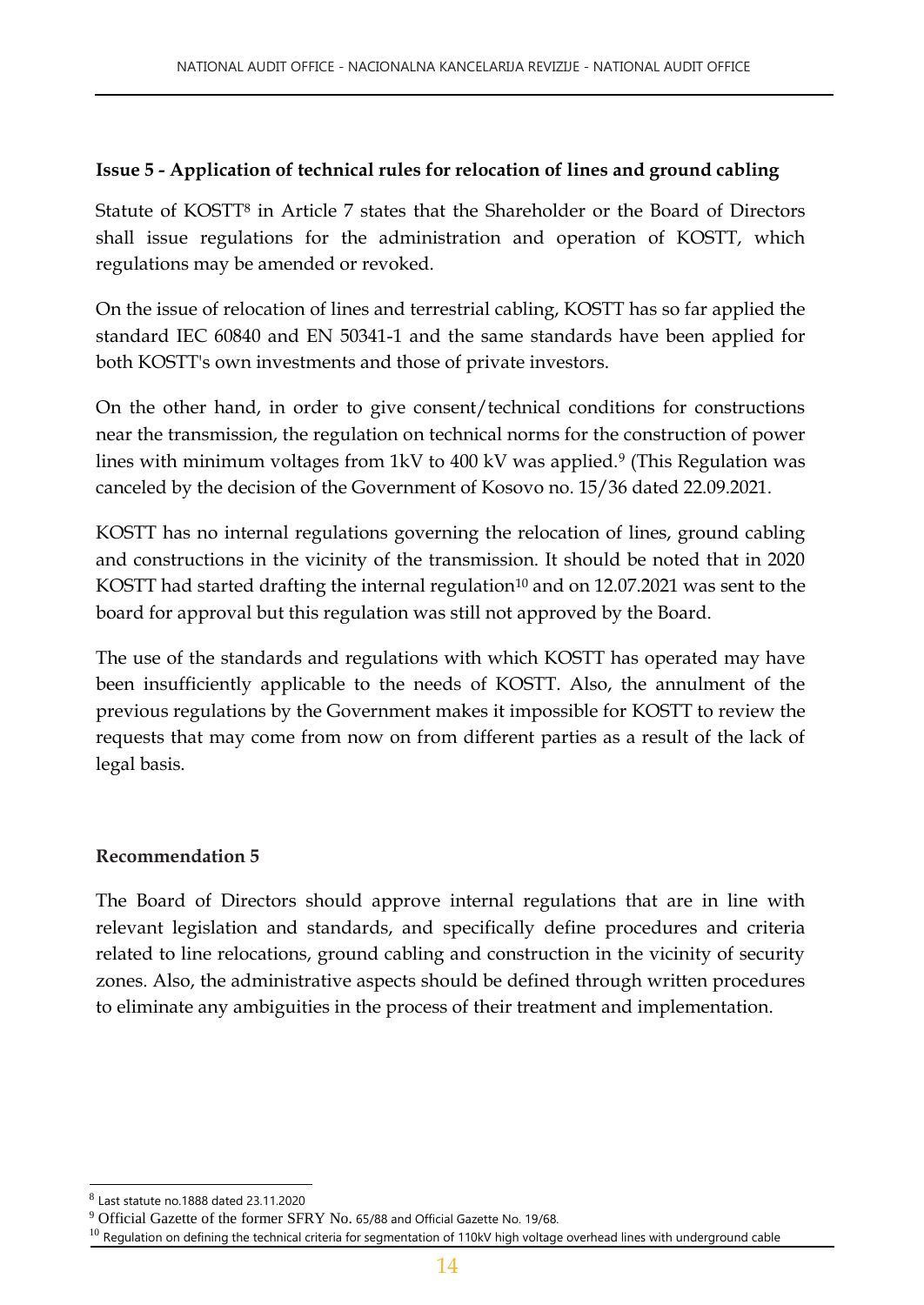#### **Issue 5 - Application of technical rules for relocation of lines and ground cabling**

Statute of KOSTT<sup>8</sup> in Article 7 states that the Shareholder or the Board of Directors shall issue regulations for the administration and operation of KOSTT, which regulations may be amended or revoked.

On the issue of relocation of lines and terrestrial cabling, KOSTT has so far applied the standard IEC 60840 and EN 50341-1 and the same standards have been applied for both KOSTT's own investments and those of private investors.

On the other hand, in order to give consent/technical conditions for constructions near the transmission, the regulation on technical norms for the construction of power lines with minimum voltages from 1kV to 400 kV was applied.<sup>9</sup> (This Regulation was canceled by the decision of the Government of Kosovo no. 15/36 dated 22.09.2021.

KOSTT has no internal regulations governing the relocation of lines, ground cabling and constructions in the vicinity of the transmission. It should be noted that in 2020 KOSTT had started drafting the internal regulation<sup>10</sup> and on  $12.07.2021$  was sent to the board for approval but this regulation was still not approved by the Board.

The use of the standards and regulations with which KOSTT has operated may have been insufficiently applicable to the needs of KOSTT. Also, the annulment of the previous regulations by the Government makes it impossible for KOSTT to review the requests that may come from now on from different parties as a result of the lack of legal basis.

#### **Recommendation 5**

The Board of Directors should approve internal regulations that are in line with relevant legislation and standards, and specifically define procedures and criteria related to line relocations, ground cabling and construction in the vicinity of security zones. Also, the administrative aspects should be defined through written procedures to eliminate any ambiguities in the process of their treatment and implementation.

 $^8$  Last statute no.1888 dated 23.11.2020

<sup>&</sup>lt;sup>9</sup> Official Gazette of the former SFRY No. 65/88 and Official Gazette No. 19/68.

 $10$  Regulation on defining the technical criteria for segmentation of 110kV high voltage overhead lines with underground cable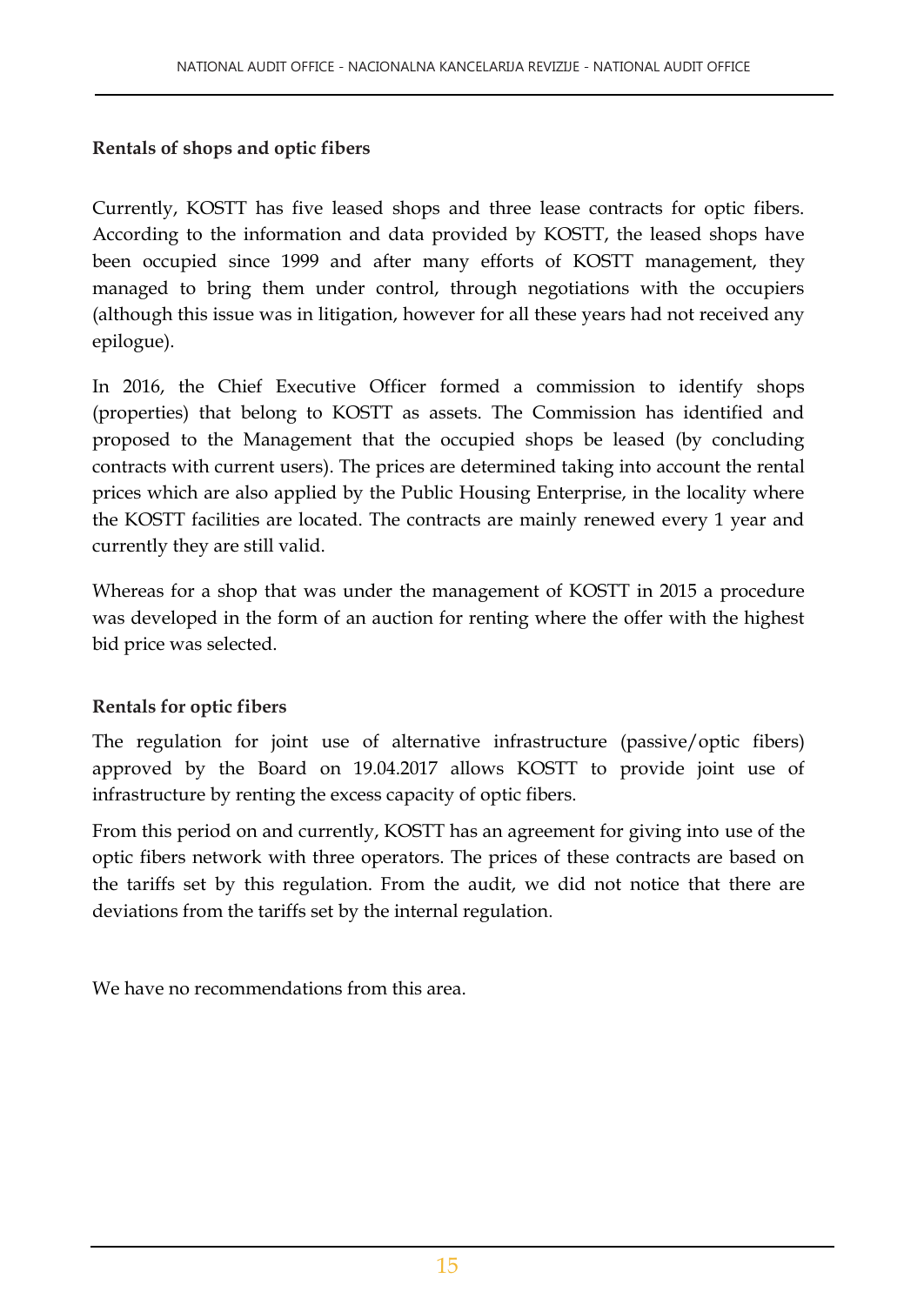#### **Rentals of shops and optic fibers**

Currently, KOSTT has five leased shops and three lease contracts for optic fibers. According to the information and data provided by KOSTT, the leased shops have been occupied since 1999 and after many efforts of KOSTT management, they managed to bring them under control, through negotiations with the occupiers (although this issue was in litigation, however for all these years had not received any epilogue).

In 2016, the Chief Executive Officer formed a commission to identify shops (properties) that belong to KOSTT as assets. The Commission has identified and proposed to the Management that the occupied shops be leased (by concluding contracts with current users). The prices are determined taking into account the rental prices which are also applied by the Public Housing Enterprise, in the locality where the KOSTT facilities are located. The contracts are mainly renewed every 1 year and currently they are still valid.

Whereas for a shop that was under the management of KOSTT in 2015 a procedure was developed in the form of an auction for renting where the offer with the highest bid price was selected.

#### **Rentals for optic fibers**

The regulation for joint use of alternative infrastructure (passive/optic fibers) approved by the Board on 19.04.2017 allows KOSTT to provide joint use of infrastructure by renting the excess capacity of optic fibers.

From this period on and currently, KOSTT has an agreement for giving into use of the optic fibers network with three operators. The prices of these contracts are based on the tariffs set by this regulation. From the audit, we did not notice that there are deviations from the tariffs set by the internal regulation.

We have no recommendations from this area.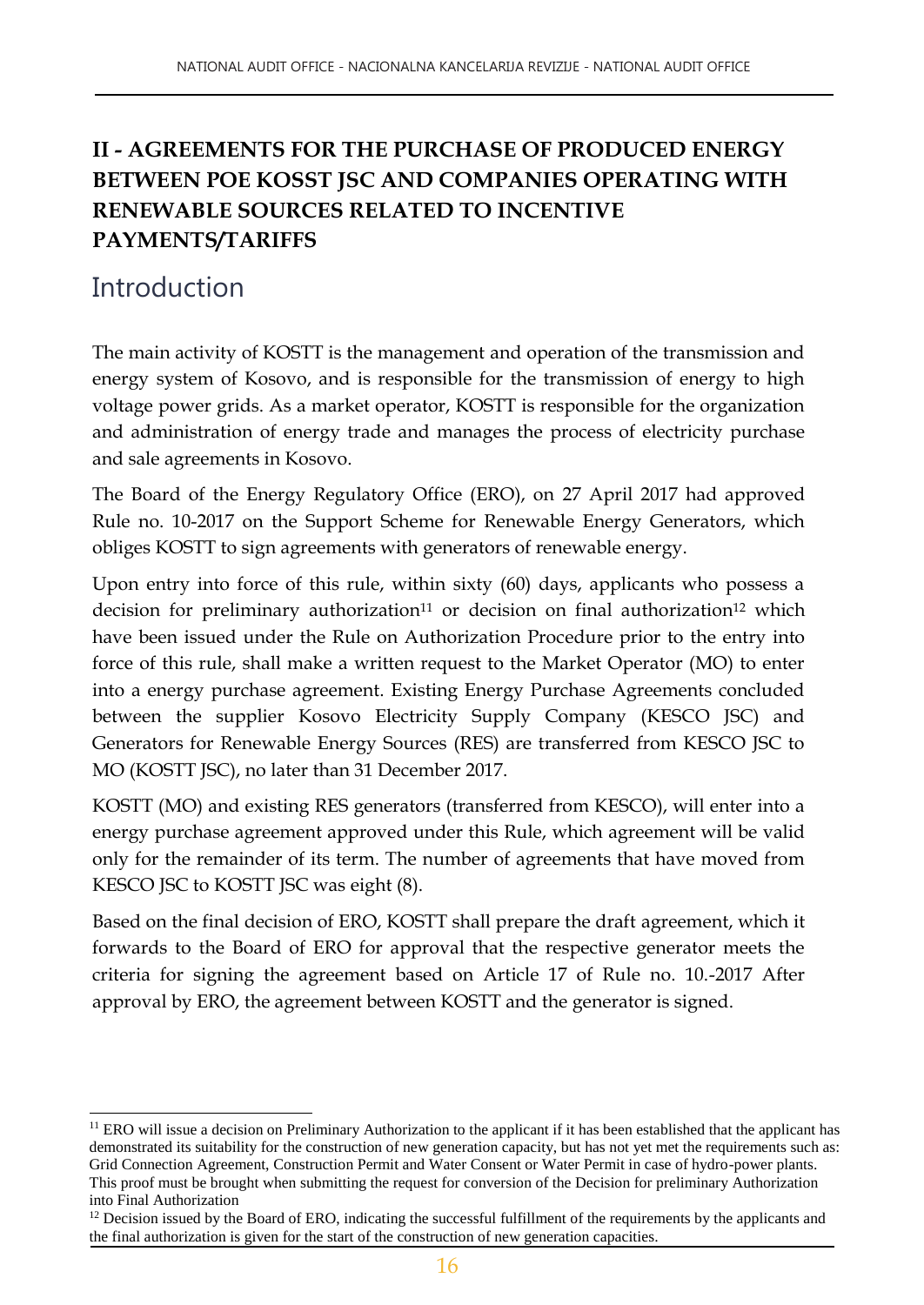### **II - AGREEMENTS FOR THE PURCHASE OF PRODUCED ENERGY BETWEEN POE KOSST JSC AND COMPANIES OPERATING WITH RENEWABLE SOURCES RELATED TO INCENTIVE PAYMENTS/TARIFFS**

### Introduction

l

The main activity of KOSTT is the management and operation of the transmission and energy system of Kosovo, and is responsible for the transmission of energy to high voltage power grids. As a market operator, KOSTT is responsible for the organization and administration of energy trade and manages the process of electricity purchase and sale agreements in Kosovo.

The Board of the Energy Regulatory Office (ERO), on 27 April 2017 had approved Rule no. 10-2017 on the Support Scheme for Renewable Energy Generators, which obliges KOSTT to sign agreements with generators of renewable energy.

Upon entry into force of this rule, within sixty (60) days, applicants who possess a decision for preliminary authorization<sup>11</sup> or decision on final authorization<sup>12</sup> which have been issued under the Rule on Authorization Procedure prior to the entry into force of this rule, shall make a written request to the Market Operator (MO) to enter into a energy purchase agreement. Existing Energy Purchase Agreements concluded between the supplier Kosovo Electricity Supply Company (KESCO JSC) and Generators for Renewable Energy Sources (RES) are transferred from KESCO JSC to MO (KOSTT JSC), no later than 31 December 2017.

KOSTT (MO) and existing RES generators (transferred from KESCO), will enter into a energy purchase agreement approved under this Rule, which agreement will be valid only for the remainder of its term. The number of agreements that have moved from KESCO JSC to KOSTT JSC was eight (8).

Based on the final decision of ERO, KOSTT shall prepare the draft agreement, which it forwards to the Board of ERO for approval that the respective generator meets the criteria for signing the agreement based on Article 17 of Rule no. 10.-2017 After approval by ERO, the agreement between KOSTT and the generator is signed.

 $11$  ERO will issue a decision on Preliminary Authorization to the applicant if it has been established that the applicant has demonstrated its suitability for the construction of new generation capacity, but has not yet met the requirements such as: Grid Connection Agreement, Construction Permit and Water Consent or Water Permit in case of hydro-power plants. This proof must be brought when submitting the request for conversion of the Decision for preliminary Authorization into Final Authorization

<sup>&</sup>lt;sup>12</sup> Decision issued by the Board of ERO, indicating the successful fulfillment of the requirements by the applicants and the final authorization is given for the start of the construction of new generation capacities.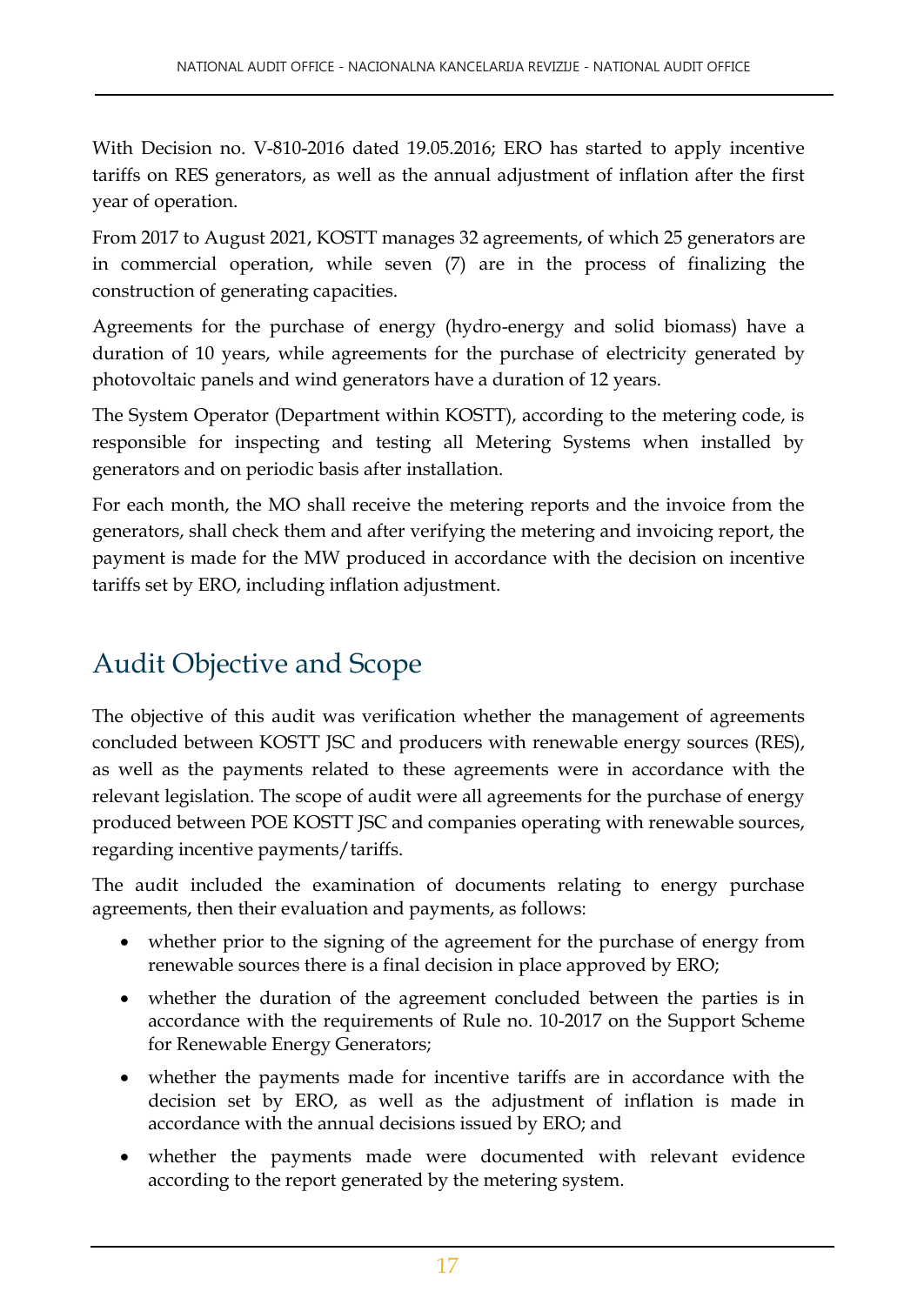With Decision no. V-810-2016 dated 19.05.2016; ERO has started to apply incentive tariffs on RES generators, as well as the annual adjustment of inflation after the first year of operation.

From 2017 to August 2021, KOSTT manages 32 agreements, of which 25 generators are in commercial operation, while seven (7) are in the process of finalizing the construction of generating capacities.

Agreements for the purchase of energy (hydro-energy and solid biomass) have a duration of 10 years, while agreements for the purchase of electricity generated by photovoltaic panels and wind generators have a duration of 12 years.

The System Operator (Department within KOSTT), according to the metering code, is responsible for inspecting and testing all Metering Systems when installed by generators and on periodic basis after installation.

For each month, the MO shall receive the metering reports and the invoice from the generators, shall check them and after verifying the metering and invoicing report, the payment is made for the MW produced in accordance with the decision on incentive tariffs set by ERO, including inflation adjustment.

# Audit Objective and Scope

The objective of this audit was verification whether the management of agreements concluded between KOSTT JSC and producers with renewable energy sources (RES), as well as the payments related to these agreements were in accordance with the relevant legislation. The scope of audit were all agreements for the purchase of energy produced between POE KOSTT JSC and companies operating with renewable sources, regarding incentive payments/tariffs.

The audit included the examination of documents relating to energy purchase agreements, then their evaluation and payments, as follows:

- whether prior to the signing of the agreement for the purchase of energy from renewable sources there is a final decision in place approved by ERO;
- whether the duration of the agreement concluded between the parties is in accordance with the requirements of Rule no. 10-2017 on the Support Scheme for Renewable Energy Generators;
- whether the payments made for incentive tariffs are in accordance with the decision set by ERO, as well as the adjustment of inflation is made in accordance with the annual decisions issued by ERO; and
- whether the payments made were documented with relevant evidence according to the report generated by the metering system.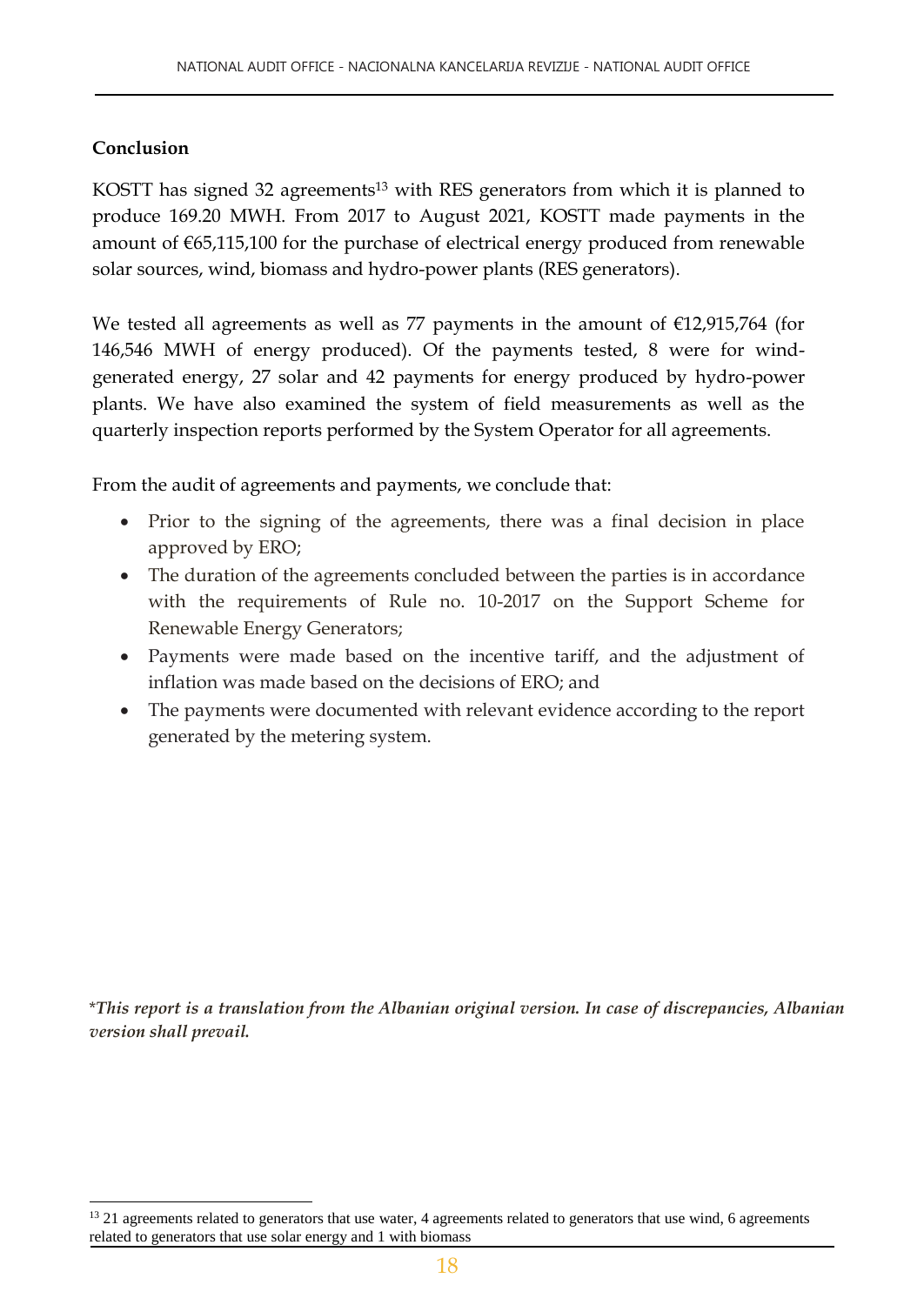#### **Conclusion**

l

KOSTT has signed 32 agreements<sup>13</sup> with RES generators from which it is planned to produce 169.20 MWH. From 2017 to August 2021, KOSTT made payments in the amount of €65,115,100 for the purchase of electrical energy produced from renewable solar sources, wind, biomass and hydro-power plants (RES generators).

We tested all agreements as well as 77 payments in the amount of  $£12,915,764$  (for 146,546 MWH of energy produced). Of the payments tested, 8 were for windgenerated energy, 27 solar and 42 payments for energy produced by hydro-power plants. We have also examined the system of field measurements as well as the quarterly inspection reports performed by the System Operator for all agreements.

From the audit of agreements and payments, we conclude that:

- Prior to the signing of the agreements, there was a final decision in place approved by ERO;
- The duration of the agreements concluded between the parties is in accordance with the requirements of Rule no. 10-2017 on the Support Scheme for Renewable Energy Generators;
- Payments were made based on the incentive tariff, and the adjustment of inflation was made based on the decisions of ERO; and
- The payments were documented with relevant evidence according to the report generated by the metering system.

\**This report is a translation from the Albanian original version. In case of discrepancies, Albanian version shall prevail.*

<sup>&</sup>lt;sup>13</sup> 21 agreements related to generators that use water, 4 agreements related to generators that use wind, 6 agreements related to generators that use solar energy and 1 with biomass